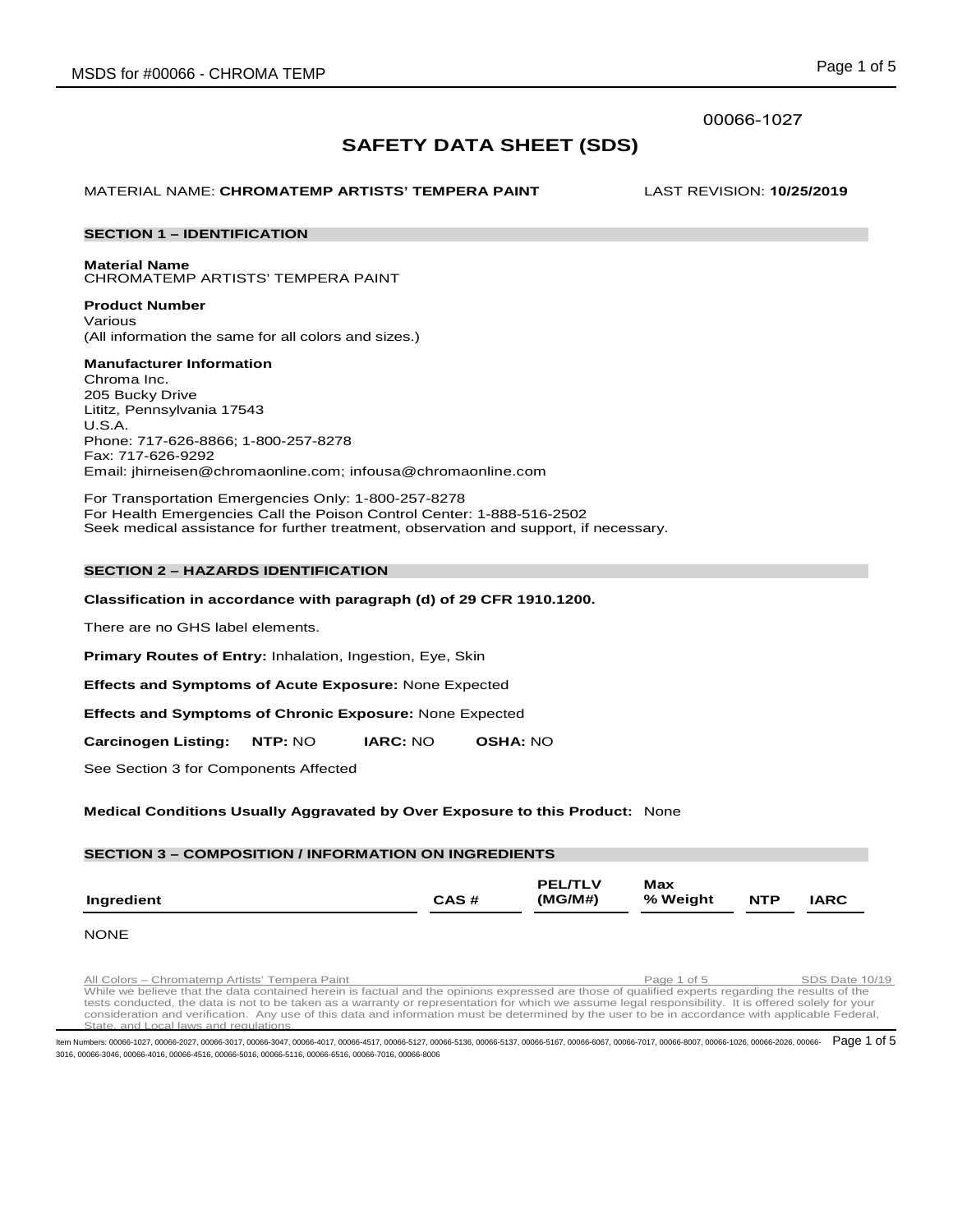## 00066-1027

# **SAFETY DATA SHEET (SDS)**

MATERIAL NAME: **CHROMATEMP ARTISTS' TEMPERA PAINT** LAST REVISION: **10/25/2019**

## **SECTION 1 – IDENTIFICATION**

**Material Name** CHROMATEMP ARTISTS' TEMPERA PAINT

**Product Number** Various (All information the same for all colors and sizes.)

**Manufacturer Information** Chroma Inc. 205 Bucky Drive Lititz, Pennsylvania 17543 U.S.A. Phone: 717-626-8866; 1-800-257-8278

Fax: 717-626-9292 Email: jhirneisen@chromaonline.com; infousa@chromaonline.com

For Transportation Emergencies Only: 1-800-257-8278 For Health Emergencies Call the Poison Control Center: 1-888-516-2502 Seek medical assistance for further treatment, observation and support, if necessary.

## **SECTION 2 – HAZARDS IDENTIFICATION**

## **Classification in accordance with paragraph (d) of 29 CFR 1910.1200.**

There are no GHS label elements.

**Primary Routes of Entry:** Inhalation, Ingestion, Eye, Skin

**Effects and Symptoms of Acute Exposure:** None Expected

**Effects and Symptoms of Chronic Exposure:** None Expected

**Carcinogen Listing: NTP:** NO **IARC:** NO **OSHA:** NO

See Section 3 for Components Affected

## **Medical Conditions Usually Aggravated by Over Exposure to this Product:** None

## **SECTION 3 – COMPOSITION / INFORMATION ON INGREDIENTS**

|            |      | <b>PEL/TLV</b> | Max      |            |             |
|------------|------|----------------|----------|------------|-------------|
| Ingredient | CAS# | (MG/M#)        | % Weight | <b>NTP</b> | <b>IARC</b> |

## **NONE**

All Colors – Chromatemp Artists' Tempera Paint Paint Page 1 of 5 SDS Date 10/19<br>While we believe that the data contained herein is factual and the opinions expressed are those of qualified experts regarding the results of tests conducted, the data is not to be taken as a warranty or representation for which we assume legal responsibility. It is offered solely for your<br>consideration and verification. Any use of this data and information must State, and Local laws and regulations.

ltem Numbers: 00066-1027, 00066-2027, 00066-3017, 00066-3047, 00066-4017, 00066-4517, 00066-5136, 00066-5137, 00066-5137, 00066-6067, 00066-6067, 00066-7017, 00066-8007, 00066-1026, 00066-2026, 00066-2026, 00066-1026, 0006 3016, 00066-3046, 00066-4016, 00066-4516, 00066-5016, 00066-5116, 00066-6516, 00066-7016, 00066-8006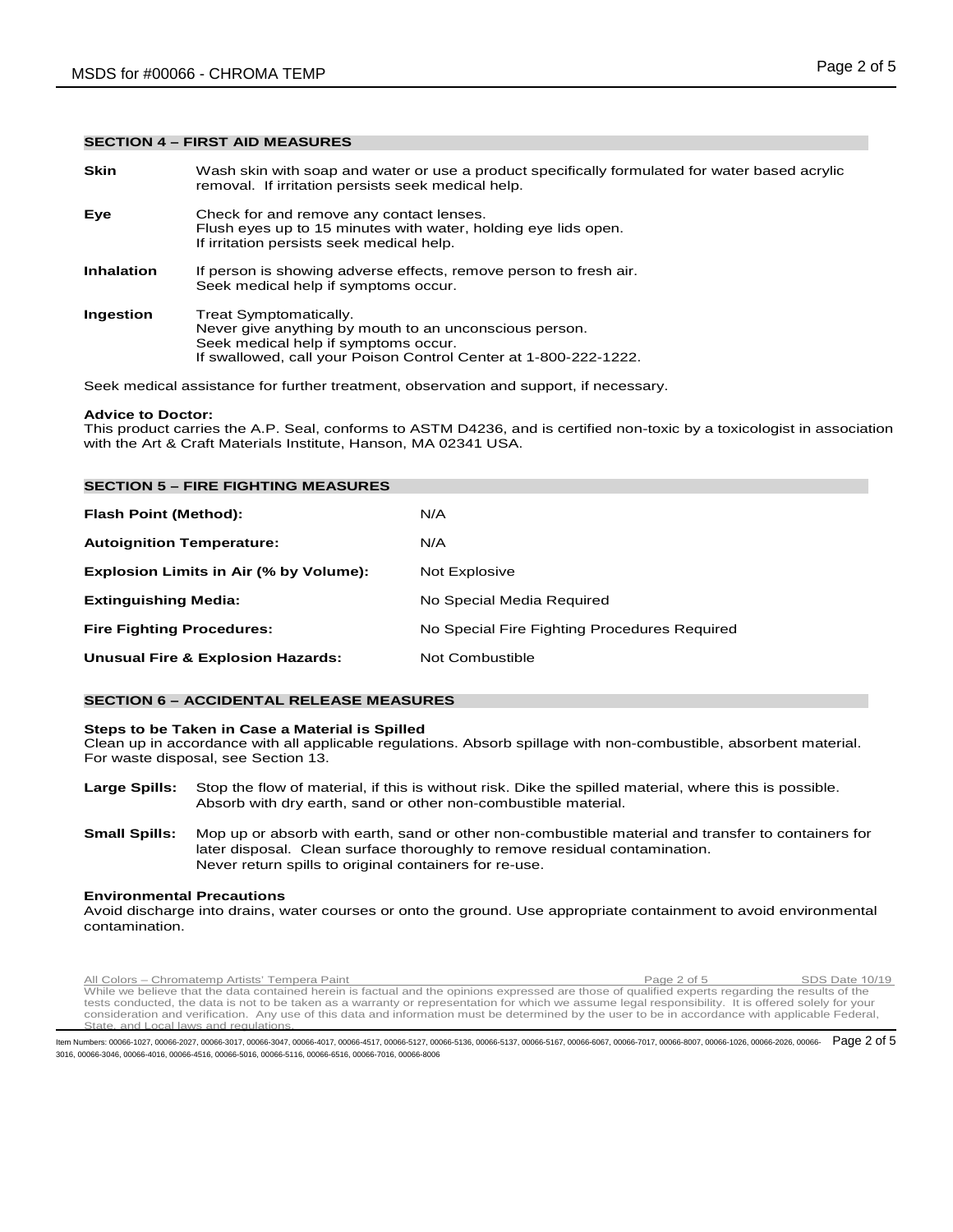### **SECTION 4 – FIRST AID MEASURES**

**Skin** Wash skin with soap and water or use a product specifically formulated for water based acrylic removal. If irritation persists seek medical help. **Eye** Check for and remove any contact lenses. Flush eyes up to 15 minutes with water, holding eye lids open. If irritation persists seek medical help. **Inhalation** If person is showing adverse effects, remove person to fresh air. Seek medical help if symptoms occur. **Ingestion** Treat Symptomatically. Never give anything by mouth to an unconscious person. Seek medical help if symptoms occur. If swallowed, call your Poison Control Center at 1-800-222-1222.

Seek medical assistance for further treatment, observation and support, if necessary.

### **Advice to Doctor:**

This product carries the A.P. Seal, conforms to ASTM D4236, and is certified non-toxic by a toxicologist in association with the Art & Craft Materials Institute, Hanson, MA 02341 USA.

| <b>SECTION 5 – FIRE FIGHTING MEASURES</b>    |                                              |
|----------------------------------------------|----------------------------------------------|
| Flash Point (Method):                        | N/A                                          |
| <b>Autoignition Temperature:</b>             | N/A                                          |
| Explosion Limits in Air (% by Volume):       | Not Explosive                                |
| <b>Extinguishing Media:</b>                  | No Special Media Required                    |
| <b>Fire Fighting Procedures:</b>             | No Special Fire Fighting Procedures Required |
| <b>Unusual Fire &amp; Explosion Hazards:</b> | Not Combustible                              |

## **SECTION 6 – ACCIDENTAL RELEASE MEASURES**

#### **Steps to be Taken in Case a Material is Spilled**

Clean up in accordance with all applicable regulations. Absorb spillage with non-combustible, absorbent material. For waste disposal, see Section 13.

- **Large Spills:** Stop the flow of material, if this is without risk. Dike the spilled material, where this is possible. Absorb with dry earth, sand or other non-combustible material.
- **Small Spills:** Mop up or absorb with earth, sand or other non-combustible material and transfer to containers for later disposal. Clean surface thoroughly to remove residual contamination. Never return spills to original containers for re-use.

## **Environmental Precautions**

Avoid discharge into drains, water courses or onto the ground. Use appropriate containment to avoid environmental contamination.

All Colors – Chromatemp Artists' Tempera Paint Paint Page 2 of 5 SDS Date 10/19<br>While we believe that the data contained herein is factual and the opinions expressed are those of qualified experts regarding the results of tests conducted, the data is not to be taken as a warranty or representation for which we assume legal responsibility. It is offered solely for your<br>consideration and verification. Any use of this data and information must State, and Local laws and regulations.

ltem Numbers: 00066-1027, 00066-2027, 00066-3017, 00066-3047, 00066-4017, 00066-4517, 00066-5136, 00066-5137, 00066-5137, 00066-6067, 00066-6067, 00066-7017, 00066-8007, 00066-1026, 00066-2026, 00066-2026, 00066-1026, 0006 3016, 00066-3046, 00066-4016, 00066-4516, 00066-5016, 00066-5116, 00066-6516, 00066-7016, 00066-8006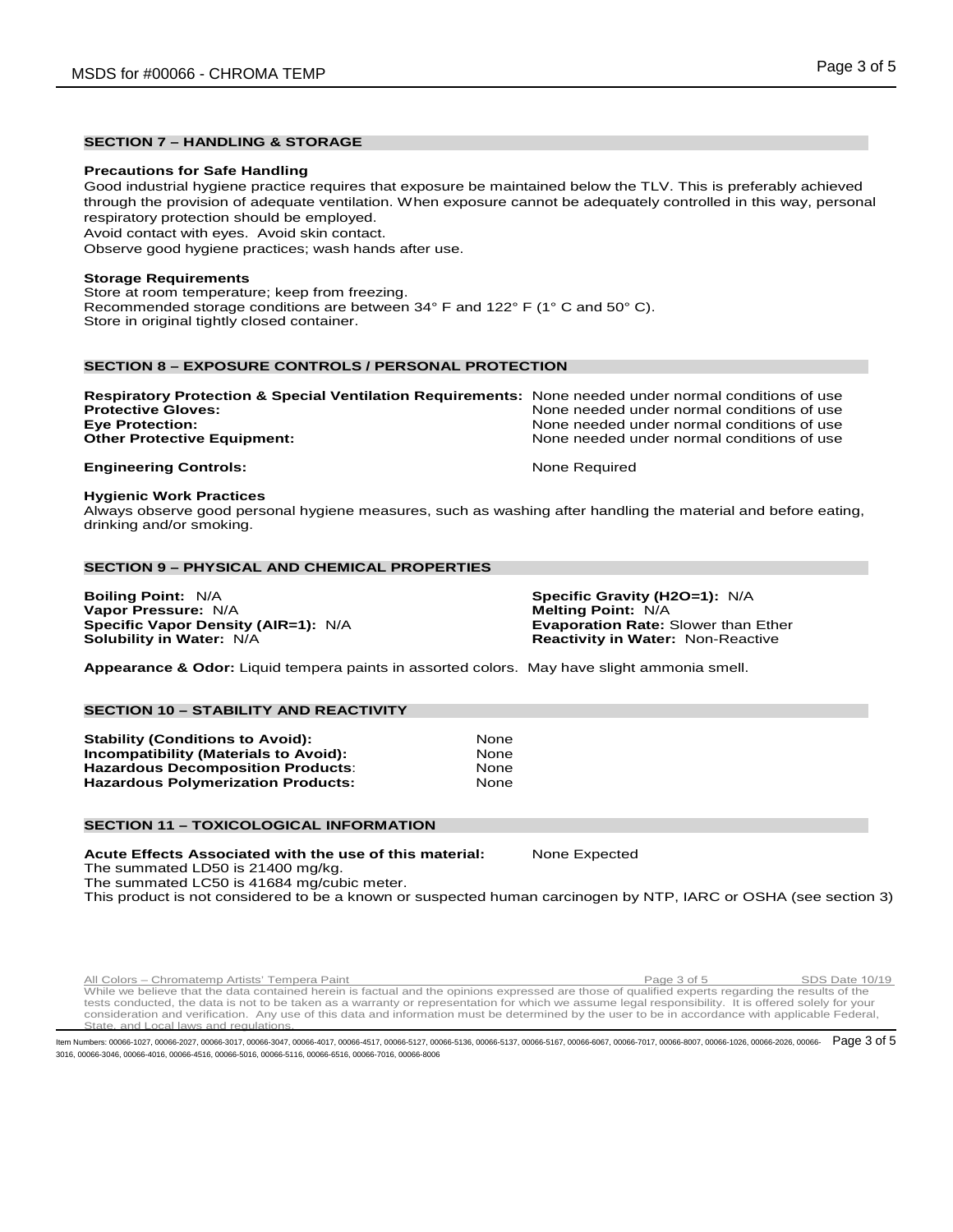## **SECTION 7 – HANDLING & STORAGE**

#### **Precautions for Safe Handling**

Good industrial hygiene practice requires that exposure be maintained below the TLV. This is preferably achieved through the provision of adequate ventilation. When exposure cannot be adequately controlled in this way, personal respiratory protection should be employed.

Avoid contact with eyes. Avoid skin contact.

Observe good hygiene practices; wash hands after use.

## **Storage Requirements**

Store at room temperature; keep from freezing. Recommended storage conditions are between 34° F and 122° F (1° C and 50° C). Store in original tightly closed container.

## **SECTION 8 – EXPOSURE CONTROLS / PERSONAL PROTECTION**

| Respiratory Protection & Special Ventilation Requirements: None needed under normal conditions of use |                                            |
|-------------------------------------------------------------------------------------------------------|--------------------------------------------|
| <b>Protective Gloves:</b>                                                                             | None needed under normal conditions of use |
| <b>Eye Protection:</b>                                                                                | None needed under normal conditions of use |
| <b>Other Protective Equipment:</b>                                                                    | None needed under normal conditions of use |
|                                                                                                       |                                            |

## **Engineering Controls:** None Required

#### **Hygienic Work Practices**

Always observe good personal hygiene measures, such as washing after handling the material and before eating, drinking and/or smoking.

## **SECTION 9 – PHYSICAL AND CHEMICAL PROPERTIES**

**Boiling Point:** N/A **Specific Gravity (H2O=1):** N/A **Vapor Pressure:** N/A **Melting Point:** N/A **Melting Point:** N/A **Specific Vapor Density (AIR=1):** N/A **Melting Point:** Exaporation Rate: Slower than Ether **Specific Vapor Density (AIR=1): N/A Solubility in Water: N/A** 

**Reactivity in Water: Non-Reactive** 

**Appearance & Odor:** Liquid tempera paints in assorted colors. May have slight ammonia smell.

## **SECTION 10 – STABILITY AND REACTIVITY**

**Stability (Conditions to Avoid):** None **Incompatibility (Materials to Avoid):** None **Hazardous Decomposition Products: The Connect Search Search Products Algebra 2016**<br>**Hazardous Polymerization Products: None Hazardous Polymerization Products:** 

#### **SECTION 11 – TOXICOLOGICAL INFORMATION**

**Acute Effects Associated with the use of this material:** None Expected The summated LD50 is 21400 mg/kg.

The summated LC50 is 41684 mg/cubic meter.

This product is not considered to be a known or suspected human carcinogen by NTP, IARC or OSHA (see section 3)

All Colors – Chromatemp Artists' Tempera Paint Page 3 of 5 SDS Date 10/19 While we believe that the data contained herein is factual and the opinions expressed are those of qualified experts regarding the results of the tests conducted, the data is not to be taken as a warranty or representation for which we assume legal responsibility. It is offered solely for your<br>consideration and verification. Any use of this data and information must State, and Local laws and regulations.

ltem Numbers: 00066-1027, 00066-2027, 00066-3017, 00066-3047, 00066-4017, 00066-4517, 00066-5136, 00066-5137, 00066-5137, 00066-6067, 00066-6067, 00066-7017, 00066-8007, 00066-8007, 00066-2026, 00066-2026, 00066-2026, 0006 3016, 00066-3046, 00066-4016, 00066-4516, 00066-5016, 00066-5116, 00066-6516, 00066-7016, 00066-8006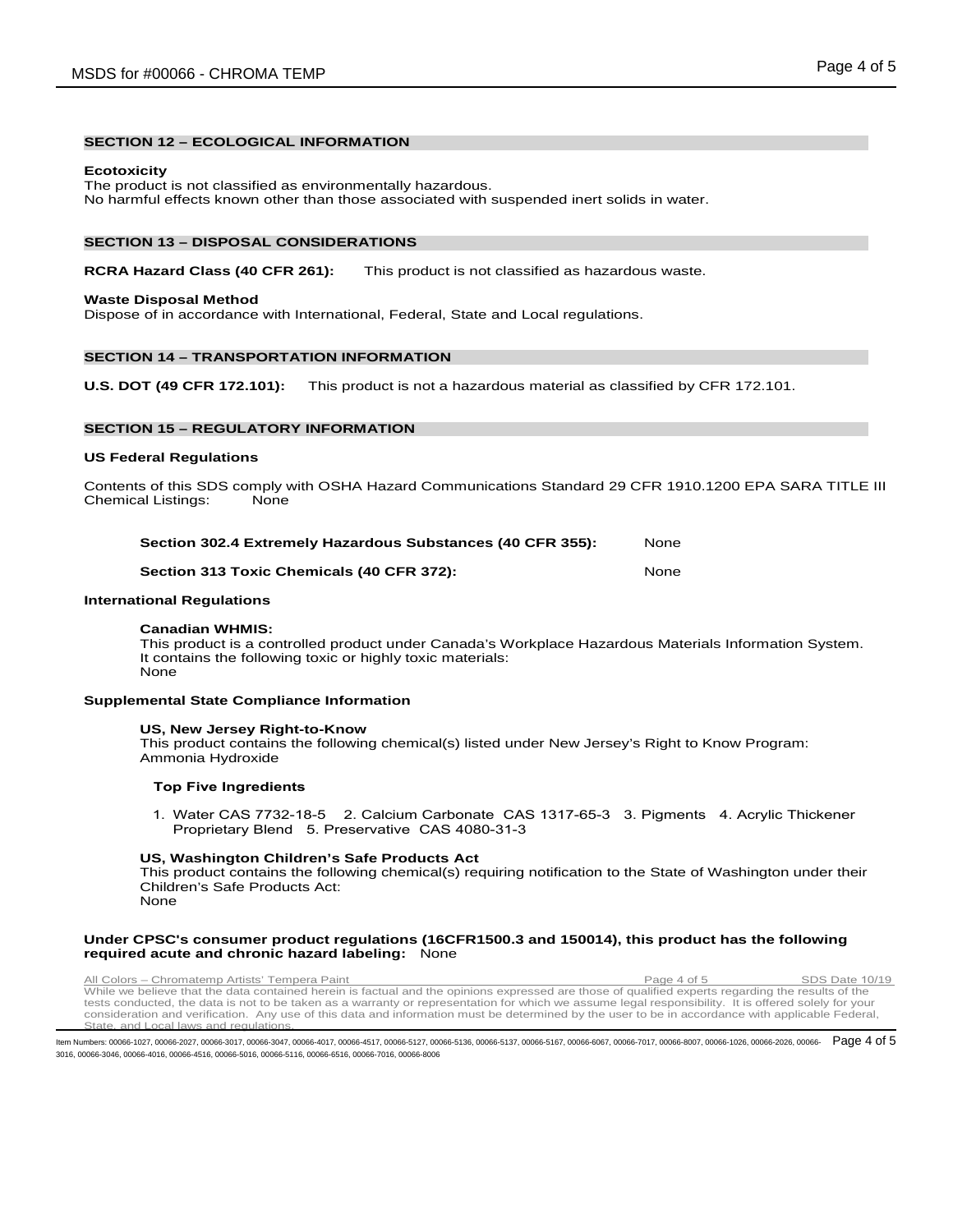## **SECTION 12 – ECOLOGICAL INFORMATION**

#### **Ecotoxicity**

The product is not classified as environmentally hazardous. No harmful effects known other than those associated with suspended inert solids in water.

#### **SECTION 13 – DISPOSAL CONSIDERATIONS**

### **RCRA Hazard Class (40 CFR 261):** This product is not classified as hazardous waste.

#### **Waste Disposal Method**

Dispose of in accordance with International, Federal, State and Local regulations.

## **SECTION 14 – TRANSPORTATION INFORMATION**

**U.S. DOT (49 CFR 172.101):** This product is not a hazardous material as classified by CFR 172.101.

## **SECTION 15 – REGULATORY INFORMATION**

#### **US Federal Regulations**

Contents of this SDS comply with OSHA Hazard Communications Standard 29 CFR 1910.1200 EPA SARA TITLE III Chemical Listings: None

| Section 302.4 Extremely Hazardous Substances (40 CFR 355): |      |   | None |  |  |
|------------------------------------------------------------|------|---|------|--|--|
| - -                                                        | ---- | . |      |  |  |

## **Section 313 Toxic Chemicals (40 CFR 372):** None

#### **International Regulations**

#### **Canadian WHMIS:**

This product is a controlled product under Canada's Workplace Hazardous Materials Information System. It contains the following toxic or highly toxic materials: None

#### **Supplemental State Compliance Information**

#### **US, New Jersey Right-to-Know**

This product contains the following chemical(s) listed under New Jersey's Right to Know Program: Ammonia Hydroxide

#### **Top Five Ingredients**

1. Water CAS 7732-18-5 2. Calcium Carbonate CAS 1317-65-3 3. Pigments 4. Acrylic Thickener Proprietary Blend 5. Preservative CAS 4080-31-3

#### **US, Washington Children's Safe Products Act**

This product contains the following chemical(s) requiring notification to the State of Washington under their Children's Safe Products Act: None

#### **Under CPSC's consumer product regulations (16CFR1500.3 and 150014), this product has the following required acute and chronic hazard labeling:** None

All Colors – Chromatemp Artists' Tempera Paint Page 4 of 5 SDS Date 10/19 While we believe that the data contained herein is factual and the opinions expressed are those of qualified experts regarding the results of the tests conducted, the data is not to be taken as a warranty or representation for which we assume legal responsibility. It is offered solely for your<br>consideration and verification. Any use of this data and information must State, and Local laws and regulations.

ltem Numbers: 00066-1027, 00066-2027, 00066-3017, 00066-3047, 00066-4017, 00066-4517, 00066-5136, 00066-5137, 00066-5137, 00066-6067, 00066-6067, 00066-7017, 00066-8007, 00066-1026, 00066-2026, 00066-2026, 00066-1027, 0006 3016, 00066-3046, 00066-4016, 00066-4516, 00066-5016, 00066-5116, 00066-6516, 00066-7016, 00066-8006